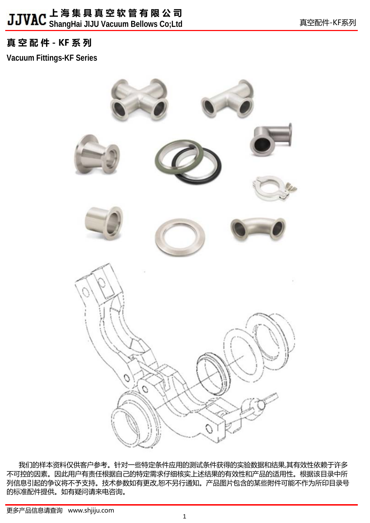**ShangHai JIJU Vacuum Bellows Co;Ltd**

# **真 空 配 件 - KF 系 列**

**Vacuum Fittings-KF Series**



我们的样本资料仅供客户参考。针对一些特定条件应用的测试条件获得的实验数据和结果,其有效性依赖于许多 不可控的因素。因此用户有责任根据自己的特定需求仔细核实上述结果的有效性和产品的适用性。根据该目录中所 列信息引起的争议将不予支持。技术参数如有更改,恕不另行通知。产品图片包含的某些附件可能不作为所印目录号 的标准配件提供。如有疑问请来电咨询。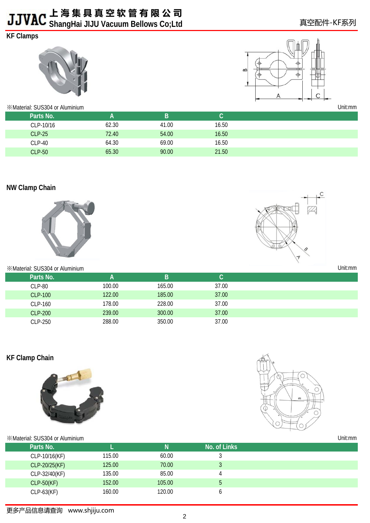**ShangHai JIJU Vacuum Bellows Co;Ltd**

# **KF Clamps**





| <b>EXAMPLE MARKET SUS304 or Aluminium</b> | Unit:mm |       |       |  |
|-------------------------------------------|---------|-------|-------|--|
| Parts No.                                 |         | B     |       |  |
| CLP-10/16                                 | 62.30   | 41.00 | 16.50 |  |
| <b>CLP-25</b>                             | 72.40   | 54.00 | 16.50 |  |
| CLP-40                                    | 64.30   | 69.00 | 16.50 |  |
| <b>CLP-50</b>                             | 65.30   | 90.00 | 21.50 |  |

# **NW Clamp Chain**



### ※Material: SUS304 or Aluminium

CLP-250



| «Material: SUS304 or Aluminium | Unit:mm |        |       |  |
|--------------------------------|---------|--------|-------|--|
| Parts No.                      |         | в      |       |  |
| CLP-80                         | 100.00  | 165.00 | 37.00 |  |
| CLP-100                        | 122.00  | 185.00 | 37.00 |  |
| CLP-160                        | 178.00  | 228.00 | 37.00 |  |
| <b>CLP-200</b>                 | 239.00  | 300.00 | 37.00 |  |

288.00 350.00 37.00

# **KF Clamp Chain**



Unit:mm

| <b>※Material: SUS304 or Aluminium</b> |        |        |              | Unit:mm |
|---------------------------------------|--------|--------|--------------|---------|
| Parts No.                             |        | Ν      | No. of Links |         |
| CLP-10/16(KF)                         | 115.00 | 60.00  |              |         |
| CLP-20/25(KF)                         | 125.00 | 70.00  | w            |         |
| CLP-32/40(KF)                         | 135.00 | 85.00  |              |         |
| <b>CLP-50(KF)</b>                     | 152.00 | 105.00 | 5            |         |
| $CLP-63(KF)$                          | 160.00 | 120.00 |              |         |

# 更多产品信息请查询www.shjiju.com

真空配件-KF系列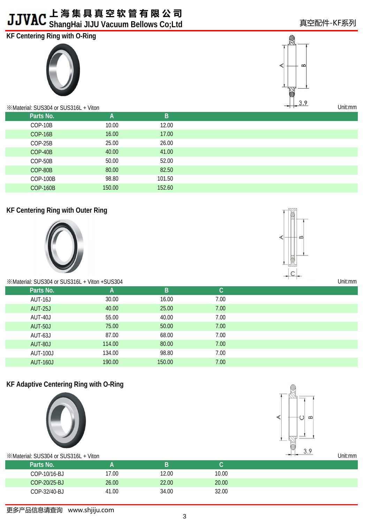**ShangHai JIJU Vacuum Bellows Co;Ltd**

# **KF Centering Ring with O-Ring**





※Material: SUS304 or SUS316L + Viton

| _ |        |              | $\frac{1}{2}$   |
|---|--------|--------------|-----------------|
|   | B      | $\mathsf{A}$ | Parts No.       |
|   | 12.00  | 10.00        | COP-10B         |
|   | 17.00  | 16.00        | COP-16B         |
|   | 26.00  | 25.00        | COP-25B         |
|   | 41.00  | 40.00        | COP-40B         |
|   | 52.00  | 50.00        | COP-50B         |
|   | 82.50  | 80.00        | COP-80B         |
|   | 101.50 | 98.80        | COP-100B        |
|   | 152.60 | 150.00       | <b>COP-160B</b> |

# **KF Centering Ring with Outer Ring**





Unit:mm

Unit:mm

※Material: SUS304 or SUS316L + Viton +SUS304

| Parts No.       | A      | B      | C.   |
|-----------------|--------|--------|------|
| AUT-16J         | 30.00  | 16.00  | 7.00 |
| <b>AUT-25J</b>  | 40.00  | 25.00  | 7.00 |
| AUT-40J         | 55.00  | 40.00  | 7.00 |
| <b>AUT-50J</b>  | 75.00  | 50.00  | 7.00 |
| AUT-63J         | 87.00  | 68.00  | 7.00 |
| AUT-80J         | 114.00 | 80.00  | 7.00 |
| <b>AUT-100J</b> | 134.00 | 98.80  | 7.00 |
| <b>AUT-160J</b> | 190.00 | 150.00 | 7.00 |
|                 |        |        |      |

# **KF Adaptive Centering Ring with O-Ring**





| im SUS304 or SUS316L + Viton | $\cup$ . | Unit:mm |       |  |  |
|------------------------------|----------|---------|-------|--|--|
| Parts No.                    |          | B       |       |  |  |
| COP-10/16-BJ                 | 17.00    | 12.00   | 10.00 |  |  |
| COP-20/25-BJ                 | 26.00    | 22.00   | 20.00 |  |  |
| COP-32/40-BJ                 | 41.00    | 34.00   | 32.00 |  |  |
|                              |          |         |       |  |  |

# 真空配件-KF系列

更多产品信息请查询www.shjiju.com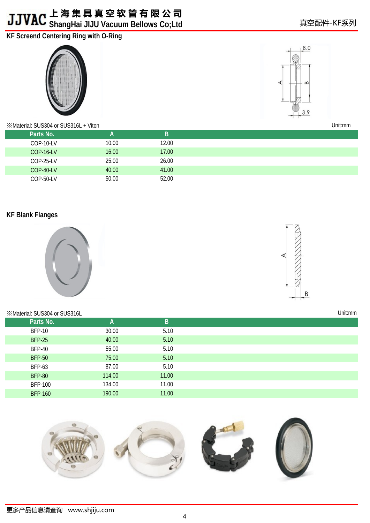# **上 海 集 具 真 空 软 管 有 限 公 司 ShangHai JIJU Vacuum Bellows Co;Ltd**

# **KF Screend Centering Ring with O-Ring**





※Material: SUS304 or SUS316L + Viton

| Unit:mm |  |
|---------|--|
|         |  |

Unit:mm

真空配件-KF系列

| $\cdot$ Material: SUS304 or SUS316L + VIton |       |       | UNICINI |
|---------------------------------------------|-------|-------|---------|
| Parts No.                                   |       | B     |         |
| COP-10-LV                                   | 10.00 | 12.00 |         |
| <b>COP-16-LV</b>                            | 16.00 | 17.00 |         |
| COP-25-LV                                   | 25.00 | 26.00 |         |
| COP-40-LV                                   | 40.00 | 41.00 |         |
| COP-50-LV                                   | 50.00 | 52.00 |         |

# **KF Blank Flanges**



# B

### ※Material: SUS304 or SUS316L

| Parts No.      | A      | B     |
|----------------|--------|-------|
| <b>BFP-10</b>  | 30.00  | 5.10  |
| <b>BFP-25</b>  | 40.00  | 5.10  |
| <b>BFP-40</b>  | 55.00  | 5.10  |
| <b>BFP-50</b>  | 75.00  | 5.10  |
| <b>BFP-63</b>  | 87.00  | 5.10  |
| <b>BFP-80</b>  | 114.00 | 11.00 |
| <b>BFP-100</b> | 134.00 | 11.00 |
| <b>BFP-160</b> | 190.00 | 11.00 |

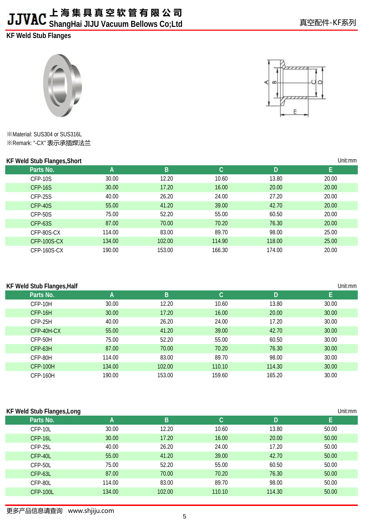**ShangHai JIJU Vacuum Bellows Co;Ltd**

**KF Weld Stub Flanges**



※Material: SUS304 or SUS316L ※Remark: "-CX" 表示承插焊法兰

# **KE Wold Stub Flanges, Short**

|   | 77777         |  |
|---|---------------|--|
| Β |               |  |
|   | $\frac{1}{1}$ |  |
|   |               |  |

| Unit:mm<br>KF Weld Stub Flanges, Short |        |        |        |        |       |  |  |
|----------------------------------------|--------|--------|--------|--------|-------|--|--|
| Parts No.                              | A      | B      | lC.    | D      | Е     |  |  |
| CFP-10S                                | 30.00  | 12.20  | 10.60  | 13.80  | 20.00 |  |  |
| CFP-16S                                | 30.00  | 17.20  | 16.00  | 20.00  | 20.00 |  |  |
| CFP-25S                                | 40.00  | 26.20  | 24.00  | 27.20  | 20.00 |  |  |
| CFP-40S                                | 55.00  | 41.20  | 39.00  | 42.70  | 20.00 |  |  |
| CFP-50S                                | 75.00  | 52.20  | 55.00  | 60.50  | 20.00 |  |  |
| CFP-63S                                | 87.00  | 70.00  | 70.20  | 76.30  | 20.00 |  |  |
| CFP-80S-CX                             | 114.00 | 83.00  | 89.70  | 98.00  | 25.00 |  |  |
| CFP-100S-CX                            | 134.00 | 102.00 | 114.90 | 118.00 | 25.00 |  |  |
| CFP-160S-CX                            | 190.00 | 153.00 | 166.30 | 174.00 | 20.00 |  |  |

# **KF Weld Stub Flanges,Half**

| Unit:mm<br><b>KF Weld Stub Flanges, Half</b> |        |        |        |        |       |  |  |
|----------------------------------------------|--------|--------|--------|--------|-------|--|--|
| Parts No.                                    | A      | B      | C.     | D      | E     |  |  |
| CFP-10H                                      | 30.00  | 12.20  | 10.60  | 13.80  | 30.00 |  |  |
| CFP-16H                                      | 30.00  | 17.20  | 16.00  | 20.00  | 30.00 |  |  |
| CFP-25H                                      | 40.00  | 26.20  | 24.00  | 17.20  | 30.00 |  |  |
| CFP-40H-CX                                   | 55.00  | 41.20  | 39.00  | 42.70  | 30.00 |  |  |
| CFP-50H                                      | 75.00  | 52.20  | 55.00  | 60.50  | 30.00 |  |  |
| CFP-63H                                      | 87.00  | 70.00  | 70.20  | 76.30  | 30.00 |  |  |
| CFP-80H                                      | 114.00 | 83.00  | 89.70  | 98.00  | 30.00 |  |  |
| <b>CFP-100H</b>                              | 134.00 | 102.00 | 110.10 | 114.30 | 30.00 |  |  |
| <b>CFP-160H</b>                              | 190.00 | 153.00 | 159.60 | 165.20 | 30.00 |  |  |

# **KF Weld Stub Flanges,Long**

| <b>KF Weld Stub Flanges, Long</b> |        |        |                      |        | Unit:mm |
|-----------------------------------|--------|--------|----------------------|--------|---------|
| Parts No.                         | А      | B      | $\mathsf{C}^{\cdot}$ | D      | н.      |
| CFP-10L                           | 30.00  | 12.20  | 10.60                | 13.80  | 50.00   |
| CFP-16L                           | 30.00  | 17.20  | 16.00                | 20.00  | 50.00   |
| CFP-25L                           | 40.00  | 26.20  | 24.00                | 17.20  | 50.00   |
| CFP-40L                           | 55.00  | 41.20  | 39.00                | 42.70  | 50.00   |
| CFP-50L                           | 75.00  | 52.20  | 55.00                | 60.50  | 50.00   |
| CFP-63L                           | 87.00  | 70.00  | 70.20                | 76.30  | 50.00   |
| CFP-80L                           | 114.00 | 83.00  | 89.70                | 98.00  | 50.00   |
| <b>CFP-100L</b>                   | 134.00 | 102.00 | 110.10               | 114.30 | 50.00   |

# 更多产品信息请查询www.shjiju.com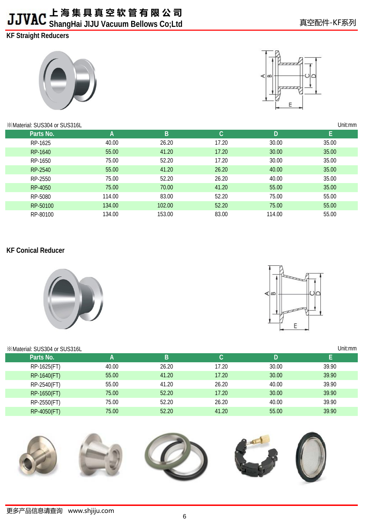# **上 海 集 具 真 空 软 管 有 限 公 司 ShangHai JIJU Vacuum Bellows Co;Ltd**

**KF Straight Reducers** 





### ※Material: SUS304 or SUS316L

| *Material: SUS304 or SUS316L |        | Unit:mm |              |        |       |  |
|------------------------------|--------|---------|--------------|--------|-------|--|
| Parts No.                    | A      | B       | $\mathsf{C}$ | D      | E     |  |
| RP-1625                      | 40.00  | 26.20   | 17.20        | 30.00  | 35.00 |  |
| RP-1640                      | 55.00  | 41.20   | 17.20        | 30.00  | 35.00 |  |
| RP-1650                      | 75.00  | 52.20   | 17.20        | 30.00  | 35.00 |  |
| RP-2540                      | 55.00  | 41.20   | 26.20        | 40.00  | 35.00 |  |
| RP-2550                      | 75.00  | 52.20   | 26.20        | 40.00  | 35.00 |  |
| RP-4050                      | 75.00  | 70.00   | 41.20        | 55.00  | 35.00 |  |
| RP-5080                      | 114.00 | 83.00   | 52.20        | 75.00  | 55.00 |  |
| RP-50100                     | 134.00 | 102.00  | 52.20        | 75.00  | 55.00 |  |
| RP-80100                     | 134.00 | 153.00  | 83.00        | 114.00 | 55.00 |  |
|                              |        |         |              |        |       |  |

# **KF Conical Reducer**



# ⊲∣∞ E

| <b>EXAMPLE SUS304 or SUS316L</b> |       |       |       |       | Unit:mm |
|----------------------------------|-------|-------|-------|-------|---------|
| Parts No.                        | A     | B     |       | D     | L.      |
| RP-1625(FT)                      | 40.00 | 26.20 | 17.20 | 30.00 | 39.90   |
| RP-1640(FT)                      | 55.00 | 41.20 | 17.20 | 30.00 | 39.90   |
| RP-2540(FT)                      | 55.00 | 41.20 | 26.20 | 40.00 | 39.90   |
| RP-1650(FT)                      | 75.00 | 52.20 | 17.20 | 30.00 | 39.90   |
| RP-2550(FT)                      | 75.00 | 52.20 | 26.20 | 40.00 | 39.90   |
| RP-4050(FT)                      | 75.00 | 52.20 | 41.20 | 55.00 | 39.90   |